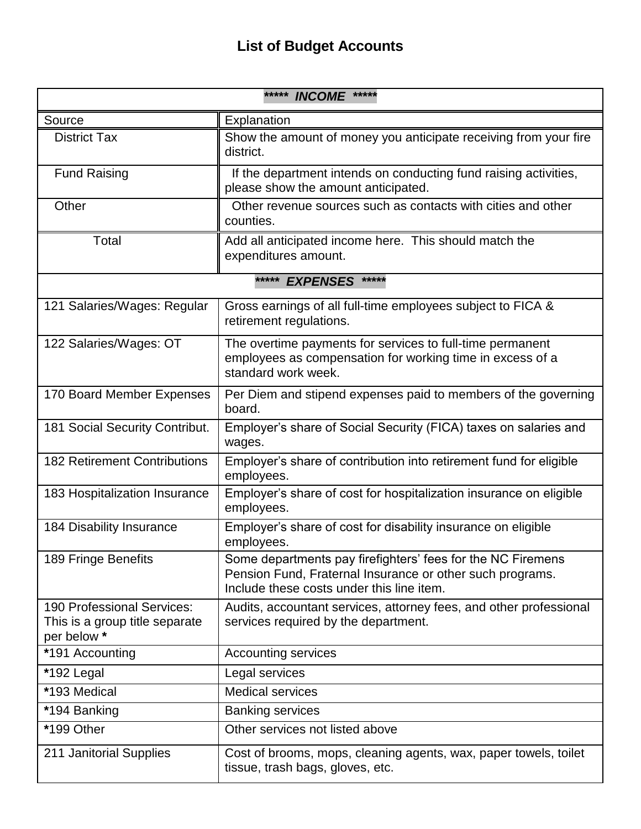## **List of Budget Accounts**

| ***** INCOME *****                                                          |                                                                                                                                                                       |  |
|-----------------------------------------------------------------------------|-----------------------------------------------------------------------------------------------------------------------------------------------------------------------|--|
| Source                                                                      | Explanation                                                                                                                                                           |  |
| <b>District Tax</b>                                                         | Show the amount of money you anticipate receiving from your fire<br>district.                                                                                         |  |
| <b>Fund Raising</b>                                                         | If the department intends on conducting fund raising activities,<br>please show the amount anticipated.                                                               |  |
| Other                                                                       | Other revenue sources such as contacts with cities and other<br>counties.                                                                                             |  |
| Total                                                                       | Add all anticipated income here. This should match the<br>expenditures amount.                                                                                        |  |
| *****<br>EXPENSES *****                                                     |                                                                                                                                                                       |  |
| 121 Salaries/Wages: Regular                                                 | Gross earnings of all full-time employees subject to FICA &<br>retirement regulations.                                                                                |  |
| 122 Salaries/Wages: OT                                                      | The overtime payments for services to full-time permanent<br>employees as compensation for working time in excess of a<br>standard work week.                         |  |
| 170 Board Member Expenses                                                   | Per Diem and stipend expenses paid to members of the governing<br>board.                                                                                              |  |
| 181 Social Security Contribut.                                              | Employer's share of Social Security (FICA) taxes on salaries and<br>wages.                                                                                            |  |
| <b>182 Retirement Contributions</b>                                         | Employer's share of contribution into retirement fund for eligible<br>employees.                                                                                      |  |
| 183 Hospitalization Insurance                                               | Employer's share of cost for hospitalization insurance on eligible<br>employees.                                                                                      |  |
| 184 Disability Insurance                                                    | Employer's share of cost for disability insurance on eligible<br>employees.                                                                                           |  |
| 189 Fringe Benefits                                                         | Some departments pay firefighters' fees for the NC Firemens<br>Pension Fund, Fraternal Insurance or other such programs.<br>Include these costs under this line item. |  |
| 190 Professional Services:<br>This is a group title separate<br>per below * | Audits, accountant services, attorney fees, and other professional<br>services required by the department.                                                            |  |
| *191 Accounting                                                             | <b>Accounting services</b>                                                                                                                                            |  |
| *192 Legal                                                                  | Legal services                                                                                                                                                        |  |
| *193 Medical                                                                | <b>Medical services</b>                                                                                                                                               |  |
| *194 Banking                                                                | <b>Banking services</b>                                                                                                                                               |  |
| *199 Other                                                                  | Other services not listed above                                                                                                                                       |  |
| 211 Janitorial Supplies                                                     | Cost of brooms, mops, cleaning agents, wax, paper towels, toilet<br>tissue, trash bags, gloves, etc.                                                                  |  |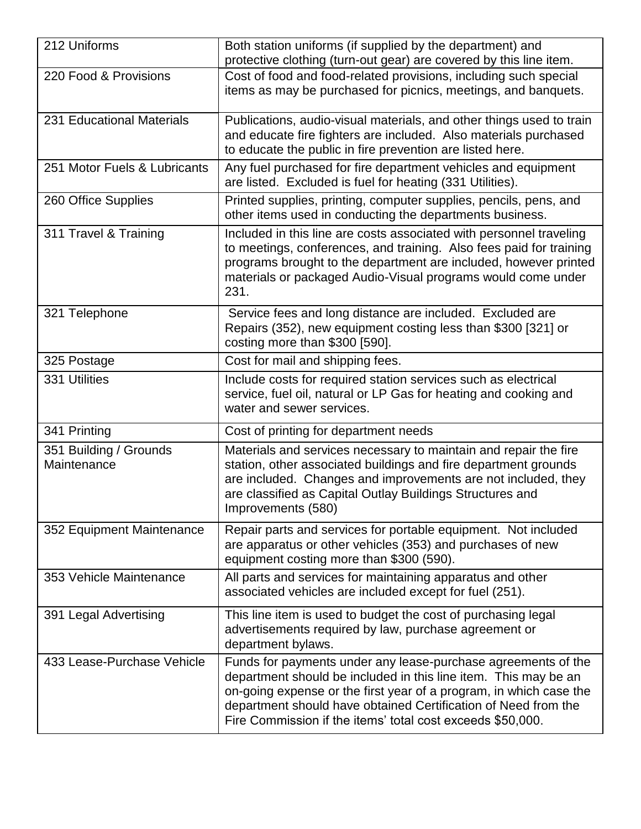| 212 Uniforms                          | Both station uniforms (if supplied by the department) and<br>protective clothing (turn-out gear) are covered by this line item.                                                                                                                                                                                                        |
|---------------------------------------|----------------------------------------------------------------------------------------------------------------------------------------------------------------------------------------------------------------------------------------------------------------------------------------------------------------------------------------|
| 220 Food & Provisions                 | Cost of food and food-related provisions, including such special<br>items as may be purchased for picnics, meetings, and banquets.                                                                                                                                                                                                     |
| 231 Educational Materials             | Publications, audio-visual materials, and other things used to train<br>and educate fire fighters are included. Also materials purchased<br>to educate the public in fire prevention are listed here.                                                                                                                                  |
| 251 Motor Fuels & Lubricants          | Any fuel purchased for fire department vehicles and equipment<br>are listed. Excluded is fuel for heating (331 Utilities).                                                                                                                                                                                                             |
| 260 Office Supplies                   | Printed supplies, printing, computer supplies, pencils, pens, and<br>other items used in conducting the departments business.                                                                                                                                                                                                          |
| 311 Travel & Training                 | Included in this line are costs associated with personnel traveling<br>to meetings, conferences, and training. Also fees paid for training<br>programs brought to the department are included, however printed<br>materials or packaged Audio-Visual programs would come under<br>231.                                                 |
| 321 Telephone                         | Service fees and long distance are included. Excluded are<br>Repairs (352), new equipment costing less than \$300 [321] or<br>costing more than \$300 [590].                                                                                                                                                                           |
| 325 Postage                           | Cost for mail and shipping fees.                                                                                                                                                                                                                                                                                                       |
| 331 Utilities                         | Include costs for required station services such as electrical<br>service, fuel oil, natural or LP Gas for heating and cooking and<br>water and sewer services.                                                                                                                                                                        |
| 341 Printing                          | Cost of printing for department needs                                                                                                                                                                                                                                                                                                  |
| 351 Building / Grounds<br>Maintenance | Materials and services necessary to maintain and repair the fire<br>station, other associated buildings and fire department grounds<br>are included. Changes and improvements are not included, they<br>are classified as Capital Outlay Buildings Structures and<br>Improvements (580)                                                |
| 352 Equipment Maintenance             | Repair parts and services for portable equipment. Not included<br>are apparatus or other vehicles (353) and purchases of new<br>equipment costing more than \$300 (590).                                                                                                                                                               |
| 353 Vehicle Maintenance               | All parts and services for maintaining apparatus and other<br>associated vehicles are included except for fuel (251).                                                                                                                                                                                                                  |
| 391 Legal Advertising                 | This line item is used to budget the cost of purchasing legal<br>advertisements required by law, purchase agreement or<br>department bylaws.                                                                                                                                                                                           |
| 433 Lease-Purchase Vehicle            | Funds for payments under any lease-purchase agreements of the<br>department should be included in this line item. This may be an<br>on-going expense or the first year of a program, in which case the<br>department should have obtained Certification of Need from the<br>Fire Commission if the items' total cost exceeds \$50,000. |